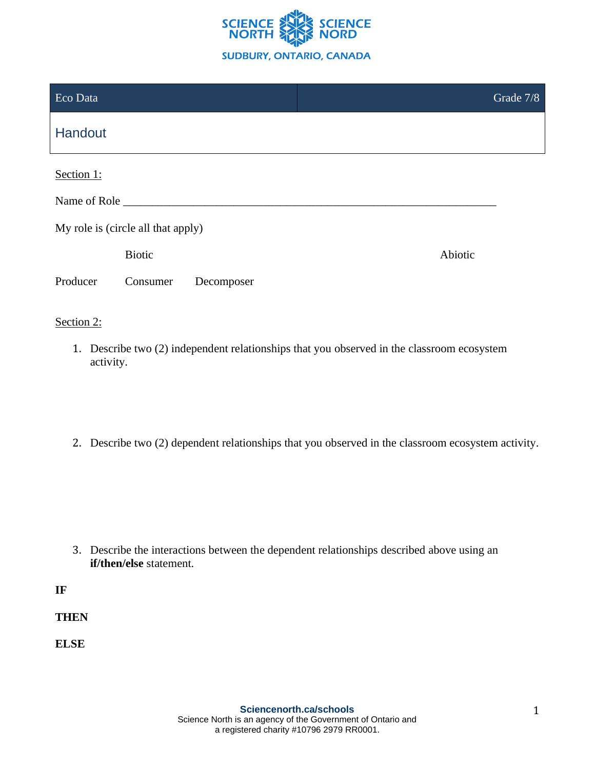

| Eco Data                           |               |            |  |         | Grade 7/8 |  |
|------------------------------------|---------------|------------|--|---------|-----------|--|
| Handout                            |               |            |  |         |           |  |
| Section 1:                         |               |            |  |         |           |  |
| Name of Role                       |               |            |  |         |           |  |
| My role is (circle all that apply) |               |            |  |         |           |  |
|                                    | <b>Biotic</b> |            |  | Abiotic |           |  |
| Producer                           | Consumer      | Decomposer |  |         |           |  |
| Section 2:                         |               |            |  |         |           |  |

- 1. Describe two (2) independent relationships that you observed in the classroom ecosystem activity.
- 2. Describe two (2) dependent relationships that you observed in the classroom ecosystem activity.

3. Describe the interactions between the dependent relationships described above using an **if/then/else** statement.

**IF**

**THEN**

**ELSE**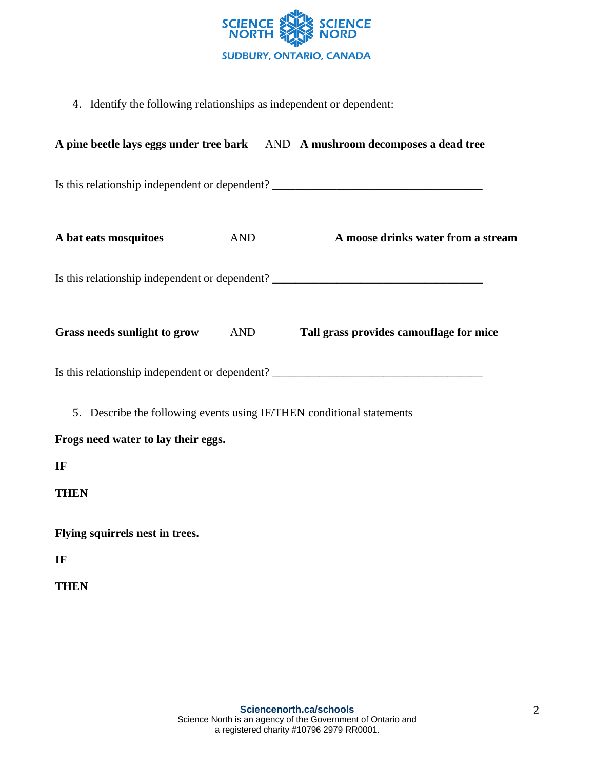

4. Identify the following relationships as independent or dependent:

|                                                                                                              |            | A pine beetle lays eggs under tree bark AND A mushroom decomposes a dead tree    |  |  |  |  |
|--------------------------------------------------------------------------------------------------------------|------------|----------------------------------------------------------------------------------|--|--|--|--|
|                                                                                                              |            | Is this relationship independent or dependent? _________________________________ |  |  |  |  |
| A bat eats mosquitoes                                                                                        | <b>AND</b> | A moose drinks water from a stream                                               |  |  |  |  |
| Is this relationship independent or dependent? _________________________________                             |            |                                                                                  |  |  |  |  |
|                                                                                                              |            | Grass needs sunlight to grow AND Tall grass provides camouflage for mice         |  |  |  |  |
| Is this relationship independent or dependent? _________________________________                             |            |                                                                                  |  |  |  |  |
| 5. Describe the following events using IF/THEN conditional statements<br>Frogs need water to lay their eggs. |            |                                                                                  |  |  |  |  |
| IF                                                                                                           |            |                                                                                  |  |  |  |  |
| <b>THEN</b>                                                                                                  |            |                                                                                  |  |  |  |  |
| Flying squirrels nest in trees.                                                                              |            |                                                                                  |  |  |  |  |
| IF                                                                                                           |            |                                                                                  |  |  |  |  |
| <b>THEN</b>                                                                                                  |            |                                                                                  |  |  |  |  |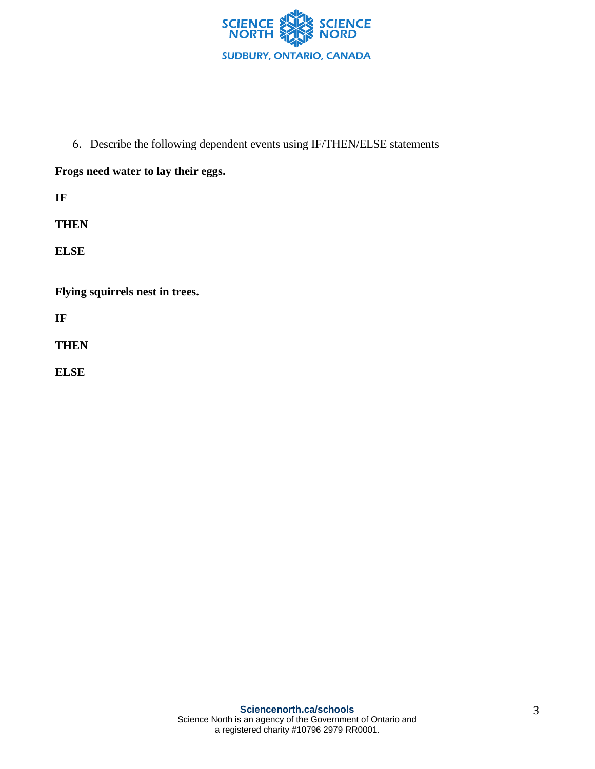

6. Describe the following dependent events using IF/THEN/ELSE statements

## **Frogs need water to lay their eggs.**

**IF**

**THEN**

**ELSE**

**Flying squirrels nest in trees.**

**IF**

**THEN**

**ELSE**